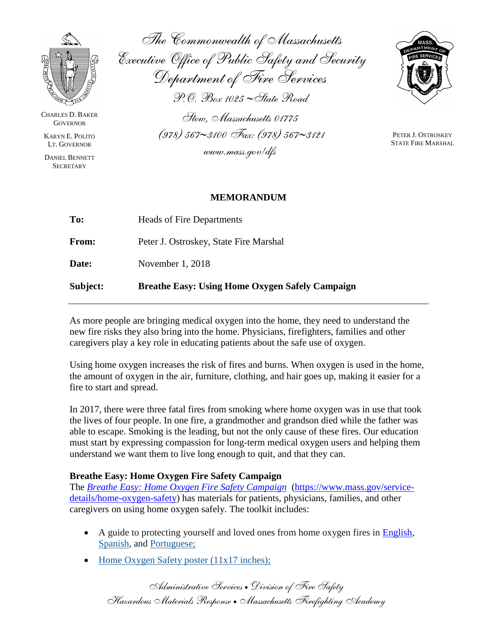

CHARLES D. BAKER **GOVERNOR** 

KARYN E. POLITO LT. GOVERNOR

DANIEL BENNETT **SECRETARY** 

*The Commonwealth of Massachusetts Executive Office of Public Safety and Security Department of Fire Services P.O. Box 1025 State Road Stow, Massachusetts 01775*

*(978) 5673100 Fax: (978) 5673121*

*www.mass.gov/dfs*



PETER J. OSTROSKEY STATE FIRE MARSHAL

## **MEMORANDUM**

| Subject:     | <b>Breathe Easy: Using Home Oxygen Safely Campaign</b> |
|--------------|--------------------------------------------------------|
| Date:        | November 1, 2018                                       |
| <b>From:</b> | Peter J. Ostroskey, State Fire Marshal                 |
| To:          | <b>Heads of Fire Departments</b>                       |

As more people are bringing medical oxygen into the home, they need to understand the new fire risks they also bring into the home. Physicians, firefighters, families and other caregivers play a key role in educating patients about the safe use of oxygen.

Using home oxygen increases the risk of fires and burns. When oxygen is used in the home, the amount of oxygen in the air, furniture, clothing, and hair goes up, making it easier for a fire to start and spread.

In 2017, there were three fatal fires from smoking where home oxygen was in use that took the lives of four people. In one fire, a grandmother and grandson died while the father was able to escape. Smoking is the leading, but not the only cause of these fires. Our education must start by expressing compassion for long-term medical oxygen users and helping them understand we want them to live long enough to quit, and that they can.

## **Breathe Easy: Home Oxygen Fire Safety Campaign**

The *[Breathe Easy: Home Oxygen Fire Safety Campaign](https://www.mass.gov/service-details/home-oxygen-safety)* [\(https://www.mass.gov/service](https://www.mass.gov/service-details/home-oxygen-safety)[details/home-oxygen-safety\)](https://www.mass.gov/service-details/home-oxygen-safety) has materials for patients, physicians, families, and other caregivers on using home oxygen safely. The toolkit includes:

- A guide to protecting yourself and loved ones from home oxygen fires in [English,](https://www.mass.gov/files/documents/2018/10/23/Home%20Oxygen_English_Final_2018.pdf) [Spanish,](https://www.mass.gov/media/9076/download) and Portuguese;
- [Home Oxygen Safety poster \(11x17 inches\);](https://www.mass.gov/media/1120786/download)

*Administrative Services Division of Fire Safety Hazardous Materials Response Massachusetts Firefighting Academy*